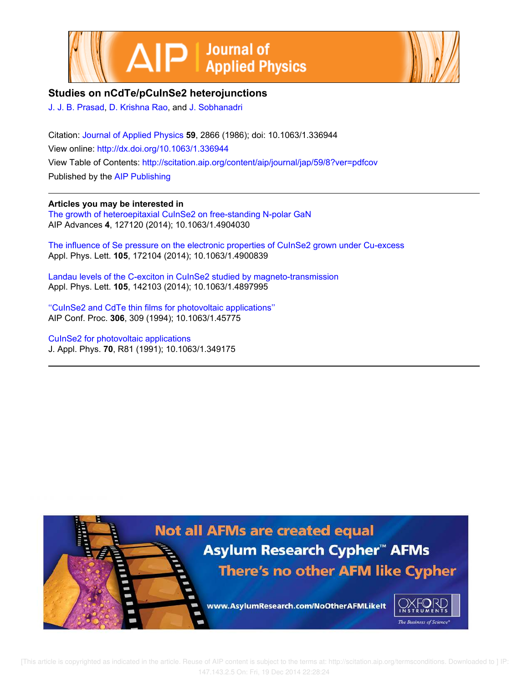



# **Studies on nCdTe/pCuInSe2 heterojunctions**

J. J. B. Prasad, D. Krishna Rao, and J. Sobhanadri

Citation: Journal of Applied Physics **59**, 2866 (1986); doi: 10.1063/1.336944 View online: http://dx.doi.org/10.1063/1.336944 View Table of Contents: http://scitation.aip.org/content/aip/journal/jap/59/8?ver=pdfcov Published by the AIP Publishing

## **Articles you may be interested in**

The growth of heteroepitaxial CuInSe2 on free-standing N-polar GaN AIP Advances **4**, 127120 (2014); 10.1063/1.4904030

The influence of Se pressure on the electronic properties of CuInSe2 grown under Cu-excess Appl. Phys. Lett. **105**, 172104 (2014); 10.1063/1.4900839

Landau levels of the C-exciton in CuInSe2 studied by magneto-transmission Appl. Phys. Lett. **105**, 142103 (2014); 10.1063/1.4897995

''CuInSe2 and CdTe thin films for photovoltaic applications'' AIP Conf. Proc. **306**, 309 (1994); 10.1063/1.45775

CuInSe2 for photovoltaic applications J. Appl. Phys. **70**, R81 (1991); 10.1063/1.349175

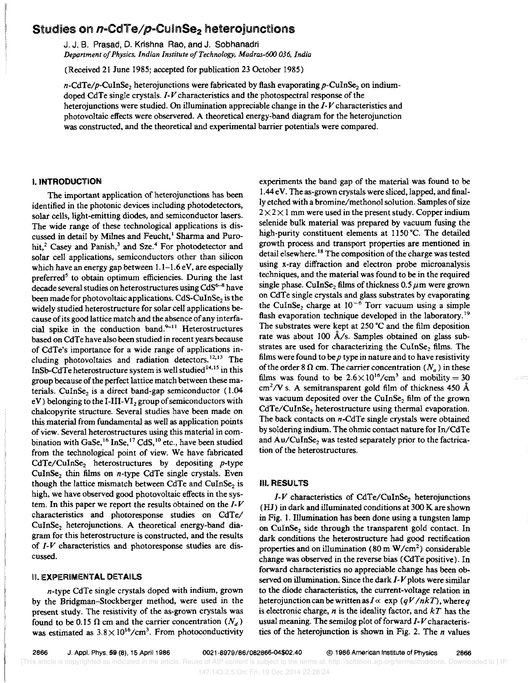# Studies on *n*-CdTe/p-CulnSe<sub>2</sub> heterojunctions

J. J. B. Prasad, D. Krishna Rao, and J. Sobhanadri

*Department 0/ Physics, Indian Institute o/Technology, Madras-600 036, India* 

(Received 21 June 1985; accepted for publication 23 October 1985)

 $n\text{-CdTe}/p\text{-CuInSe}_2$  heterojunctions were fabricated by flash evaporating p-CuInSe<sub>2</sub> on indiumdoped CdTe single crystals. *1-V* characteristics and the photospectral response of the heterojunctions were studied. On illumination appreciable change in the *1-V* characteristics and photovoltaic effects were observered. A theoretical energy-band diagram for the heterojunction was constructed, and the theoretical and experimental barrier potentials were compared.

### **I. INTRODUCTION**

The important application of heterojunctions has been identified in the photonic devices including photodetectors, solar cells, light-emitting diodes, and semiconductor lasers. The wide range of these technological applications is discussed in detail by Milnes and Feucht,<sup>1</sup> Sharma and Purohit,<sup>2</sup> Casey and Panish,<sup>3</sup> and Sze.<sup>4</sup> For photodetector and solar cell applications, semiconductors other than silicon which have an energy gap between 1.1-1.6 eV, are especially preferred<sup>5</sup> to obtain optimum efficiencies. During the last decade several studies on heterostructures using CdS<sup>6-8</sup> have been made for photovoltaic applications. CdS-CuInSe<sub>2</sub> is the widely studied heterostructure for solar cell applications because of its good lattice match and the absence of any interfacial spike in the conduction band. $9-11$  Heterostructures based on CdTe have also been studied in recent years because of CdTe's importance for a wide range of applications including photovoltaics and radiation detectors.  $12,13$  The InSb-CdTe heterostructure system is well studied 14,15 in this group because of the perfect lattice match between these materials. CuInSe<sub>2</sub> is a direct band-gap semiconductor  $(1.04)$ eV) belonging to the I-III-VI<sub>2</sub> group of semiconductors with chalcopyrite structure. Several studies have been made on this material from fundamental as well as application points of view. Several heterostructures using this material in combination with GaSe,<sup>16</sup> InSe,<sup>17</sup> CdS,<sup>10</sup> etc., have been studied from the technological point of view. We have fabricated CdTe/CuInSe<sub>2</sub> heterostructures by depositing *p*-type CuInSe<sub>2</sub> thin films on *n*-type CdTe single crystals. Even though the lattice mismatch between CdTe and CuInSe<sub>2</sub> is high, we have observed good photovoltaic effects in the system. In this paper we report the results obtained on the *1- V*  characteristics and photoresponse studies on CdTe/  $CuInSe<sub>2</sub>$  heterojunctions. A theoretical energy-band diagram for this heterostructure is constructed, and the results of *1-V* characteristics and photoresponse studies are discussed.

### U. EXPERIMENTAL DETAilS

n-type CdTe single crystals doped with indium, grown by the Bridgman-Stockberger method, were used in the present study. The resistivity of the as-grown crystals was found to be 0.15  $\Omega$  cm and the carrier concentration  $(N_d)$ was estimated as  $3.8 \times 10^{16}$ /cm<sup>3</sup>. From photoconductivity experiments the band gap of the material was found to be 1.44 e V. The as-grown crystals were sliced, lapped, and finally etched with a bromine/methonol solution. Samples of size  $2 \times 2 \times 1$  mm were used in the present study. Copper indium selenide bulk material was prepared by vacuum fusing the high-purity constituent elements at 1150°C. The detailed growth process and transport properties are mentioned in detail elsewhere. 18 The composition of the charge was tested using x-ray diffraction and electron probe microanalysis techniques, and the material was found to be in the required single phase. CuInSe<sub>2</sub> films of thickness  $0.5 \mu m$  were grown on CdTe single crystals and glass substrates by evaporating the CuInSe<sub>2</sub> charge at  $10^{-6}$  Torr vacuum using a simple flash evaporation technique developed in the laboratory.<sup>19</sup> The substrates were kept at 250 °C and the film deposition rate was about 100  $\AA$ /s. Samples obtained on glass substrates are used for characterizing the CuInSe<sub>2</sub> films. The films were found to be *p* type in nature and to have resistivity of the order 8  $\Omega$  cm. The carrier concentration  $(N_a)$  in these films was found to be  $2.6 \times 10^{16}$ /cm<sup>3</sup> and mobility = 30  $\text{cm}^2$ /V s. A semitransparent gold film of thickness 450 Å was vacuum deposited over the CuInSe<sub>2</sub> film of the grown CdTe/CuInSe, heterostructure using thermal evaporation. The back contacts on *n*-CdTe single crystals were obtained. by soldering indium. The ohmic contact nature for In/CdTe and Au/CuInSe, was tested separately prior to the factrication of the heterostructures.

#### III. RESULTS

 $I-V$  characteristics of CdTe/CuInSe<sub>2</sub> heterojunctions (HJ) in dark and illuminated conditions at 300 K are shown in Fig. 1. IHumination has been done using a tungsten lamp on CulnSe<sub>2</sub> side through the transparent gold contact. In dark conditions the heterostructure had good rectification properties and on illumination (80 m  $W/cm<sup>2</sup>$ ) considerable change was observed in the reverse bias (CdTe positive). In forward characteristics no appreciable change has been observed on illumination. Since the dark *1-V* plots were similar to the diode characteristics, the current-voltage relation in heterojunction can be written as  $I \propto \exp (qV/nkT)$ , where *q* is electronic charge, *n* is the ideality factor, and *kT* has the usual meaning. The semilog plot of forward *1-V* characteristics of the heterojunction is shown in Fig. 2. The *n* values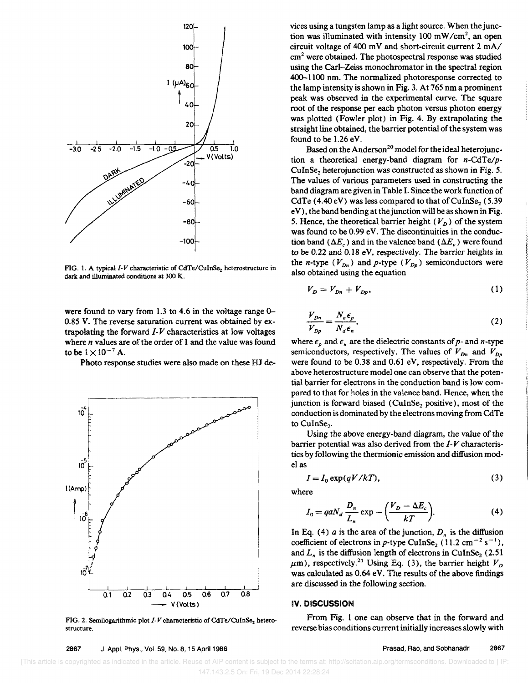

FIG. 1. A typical *I-V* characteristic of CdTe/CuInSe<sub>2</sub> heterostructure in dark and illuminated conditions at 300 K.

were found to vary from 1.3 to 4.6 in the voltage range 0-0.85 V. The reverse saturation current was obtained by extrapolating the forward 1-*V* characteristics at low voltages where *n* values are of the order of 1 and the value was found to be  $1 \times 10^{-7}$  A.

Photo response studies were also made on these HJ de-



FIG. 2. Semilogarithmic plot *I-V* characteristic of CdTe/CuInSe, heterostructure.

2867 J. Appl. PhyS., Vol. 59, No.8, 15 April 1986

vices using a tungsten lamp as a light source. When thejunction was illuminated with intensity 100 mW *Icm<sup>2</sup> ,* an open circuit voltage of 400 m V and short-circuit current 2 *mAl*   $cm<sup>2</sup>$  were obtained. The photospectral response was studied using the Carl-Zeiss monochromator in the spectral region 400-1100 nm. The normalized photoresponse corrected to the lamp intensity is shown in Fig. 3. At 765 nm a prominent peak was observed in the experimental curve. The square root of the response per each photon versus photon energy was plotted (Fowler plot) in Fig. 4. By extrapolating the straight line obtained, the barrier potential of the system was found to be 1.26 eV.

Based on the Anderson<sup>20</sup> model for the ideal heterojunction a theoretical energy-band diagram for *n*-CdTe/p-CuInSe<sub>2</sub> heterojunction was constructed as shown in Fig. 5. The values of various parameters used in constructing the band diagram are given in Table I. Since the work function of CdTe (4.40 eV) was less compared to that of CuInSe<sub>2</sub> (5.39) e V), the band bending at the junction will be as shown in Fig. 5. Hence, the theoretical barrier height ( $V_D$ ) of the system was found to be 0.99 eV. The discontinuities in the conduction band  $(\Delta E_c)$  and in the valence band  $(\Delta E_v)$  were found to be 0.22 and 0.18 eV, respectively. The barrier heights in the *n*-type  $(V_{Dn})$  and *p*-type  $(V_{Dp})$  semiconductors were also obtained using the equation

$$
V_D = V_{Dn} + V_{Dp},\tag{1}
$$

$$
\frac{V_{Dn}}{V_{Dp}} = \frac{N_a \epsilon_p}{N_d \epsilon_n},
$$
\n(2)

where  $\epsilon_p$  and  $\epsilon_n$  are the dielectric constants of p- and n-type semiconductors, respectively. The values of  $V_{Dn}$  and  $V_{Dp}$ were found to be 0.38 and 0.61 eV, respectively. From the above heterostructure model one can observe that the potential barrier for electrons in the conduction band is low compared to that for holes in the valence band. Hence, when the junction is forward biased (CuInSe<sub>2</sub> positive), most of the conduction is dominated by the electrons moving from CdTe to CuInSe<sub>2</sub>.

Using the above energy-band diagram, the value of the barrier potential was also derived from the 1-*V* characteristics by following the thermionic emission and diffusion model as

$$
I = I_0 \exp(qV/kT), \tag{3}
$$

where

$$
I_0 = qaN_d \frac{D_n}{L_n} \exp \left(-\frac{(V_D - \Delta E_c)}{kT}\right).
$$
 (4)

In Eq. (4) *a* is the area of the junction,  $D_n$  is the diffusion coefficient of electrons in p-type CuInSe<sub>2</sub> (11.2 cm<sup>-2</sup> s<sup>-1</sup>), and  $L_n$  is the diffusion length of electrons in CuInSe<sub>2</sub> (2.51)  $\mu$ m), respectively.<sup>21</sup> Using Eq. (3), the barrier height  $V_D$ was calculated as 0.64 eV. The results of the above findings are discussed in the following section.

#### IV. D1SCUSSION

From Fig. 1 one can observe that in the forward and reverse bias conditions current initially increases slowly with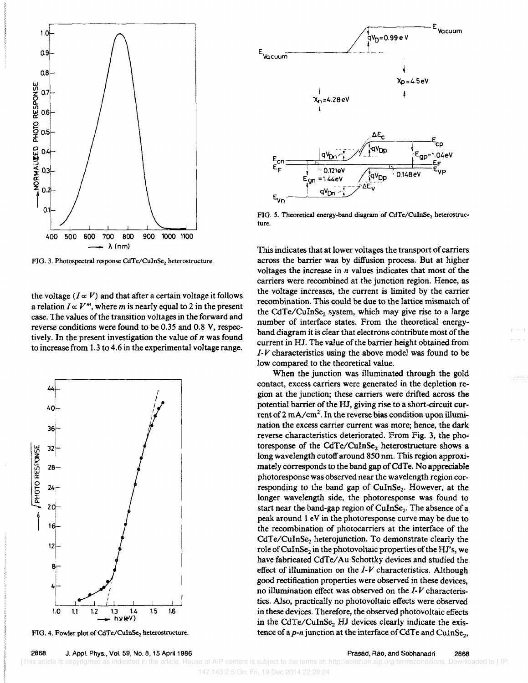

FIG. 3. Photospectral response CdTe/CuInSe<sub>2</sub> heterostructure.

the voltage  $(I \propto V)$  and that after a certain voltage it follows a relation  $I \propto V^m$ , where *m* is nearly equal to 2 in the present case. The values of the transition voltages in the forward and reverse conditions were found to be 0.35 and 0.8 V, respectively. In the present investigation the value of *n* was found to increase from 1.3 to 4.6 in the experimental voltage range.



FIG. 4. Fowler plot of CdTe/CuInSe<sub>2</sub> heterostructure.

 $F_{\mathsf{w}}$ |<br>|-<br>| V<sub>D</sub>=0.99 e V <sup>E</sup>*\_\_\_\_\_\_ L- ...*  / Vacuum  $X<sub>D</sub> = 4.5eV$ 'Xn=4,28eV ΔΕ qVno nn=1.04eV 0.121eV  $0.148e$  $= 1.4.4$ eV

FIG. 5. Theoretical energy-band diagram of  $CdTe/CuInSe<sub>2</sub>$  heterostructure.

This indicates that at lower voltages the transport of carriers across the barrier was by diffusion process. But at higher voltages the increase in *n* values indicates that most of the carriers were recombined at the junction region. Hence, as the voltage increases, the current is limited by the carrier recombination. This could be due to the lattice mismatch of the CdTe/CuInSe, system, which may give rise to a large number of interface states. From the theoretical energyband diagram it is dear that electrons contribute most of the current in HJ. The value of the barrier height obtained from *1-V* characteristics using the above model was found to be low compared to the theoretical value.

When the junction was illuminated through the gold contact, excess carriers were generated in the depletion region at the junction; these carriers were drifted across the potential barrier of the HJ, giving rise to a short-circuit cur-.<br>rent of 2 mA/cm<sup>2</sup>. In the reverse bias condition upon illumination the excess carrier current was more; hence, the dark reverse characteristics deteriorated. From Fig. 3, the photoresponse of the CdTe/CuInSe<sub>2</sub> heterostructure shows a long wavelength cutoff around 850 nm. This region approximately corresponds to the band gap of CdTe. No appreciable photoresponse was observed near the wavelength region corresponding to the band gap of CuInSe<sub>2</sub>. However, at the longer wavelength side, the photoresponse was found to start near the band-gap region of CuInSe<sub>2</sub>. The absence of a peak around 1 eV in the photoresponse curve may be due to the recombination of photocarriers at the interface of the CdTe/CuInSe<sub>2</sub> heterojunction. To demonstrate clearly the role of CuInSe<sub>2</sub> in the photovoltaic properties of the HJ's, we have fabricated CdTe/ Au Schottky devices and studied the effect of illumination on the *I-V* characteristics. Although good rectification properties were observed in these devices, no ilJumination effect was observed on the *J- V* characteristics. Also, practically no photovoltaic effects were observed in these devices. Therefore, the observed photovoltaic effects in the CdTe/CuInSe, HJ devices clearly indicate the existence of a *p*-*n* junction at the interface of CdTe and CuInSe<sub>2</sub>,

2868 J. Appl. Phys., Vol. 59, No.8, 15 April 1986

[This article is copyrighted as indicated in the article. Reuse of AIP content is subject to the terms at: http://scitation.aip.org/termsconditions. Downloaded to ] IP:

147.143.2.5 On: Fri, 19 Dec 2014 22:28:24